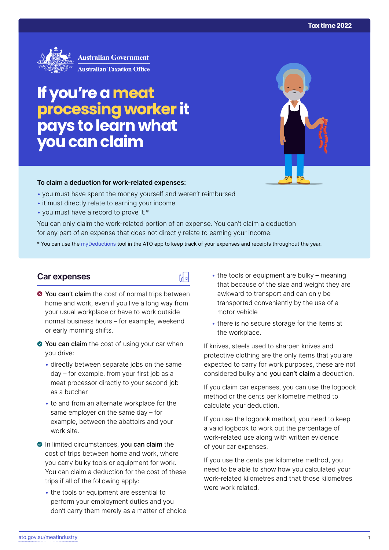

# **If you're a meat processing worker it pays to learn what you can claim**

#### **To claim a deduction for work‑related expenses:**

- you must have spent the money yourself and weren't reimbursed
- it must directly relate to earning your income
- you must have a record to prove it.\*

You can only claim the work-related portion of an expense. You can't claim a deduction for any part of an expense that does not directly relate to earning your income.

\* You can use the [myDeductions](https://ato.gov.au/mydeductions) tool in the ATO app to keep track of your expenses and receipts throughout the year.

品

#### **Car expenses**

- $\bullet$  You can't claim the cost of normal trips between home and work, even if you live a long way from your usual workplace or have to work outside normal business hours – for example, weekend or early morning shifts.
- You can claim the cost of using your car when you drive:
	- directly between separate jobs on the same day – for example, from your first job as a meat processor directly to your second job as a butcher
	- to and from an alternate workplace for the same employer on the same day – for example, between the abattoirs and your work site.
- In limited circumstances, you can claim the cost of trips between home and work, where you carry bulky tools or equipment for work. You can claim a deduction for the cost of these trips if all of the following apply:
	- the tools or equipment are essential to perform your employment duties and you don't carry them merely as a matter of choice
- $\cdot$  the tools or equipment are bulky meaning that because of the size and weight they are awkward to transport and can only be transported conveniently by the use of a motor vehicle
- there is no secure storage for the items at the workplace.

If knives, steels used to sharpen knives and protective clothing are the only items that you are expected to carry for work purposes, these are not considered bulky and you can't claim a deduction.

If you claim car expenses, you can use the logbook method or the cents per kilometre method to calculate your deduction.

If you use the logbook method, you need to keep a valid logbook to work out the percentage of work-related use along with written evidence of your car expenses.

If you use the cents per kilometre method, you need to be able to show how you calculated your work-related kilometres and that those kilometres were work related.